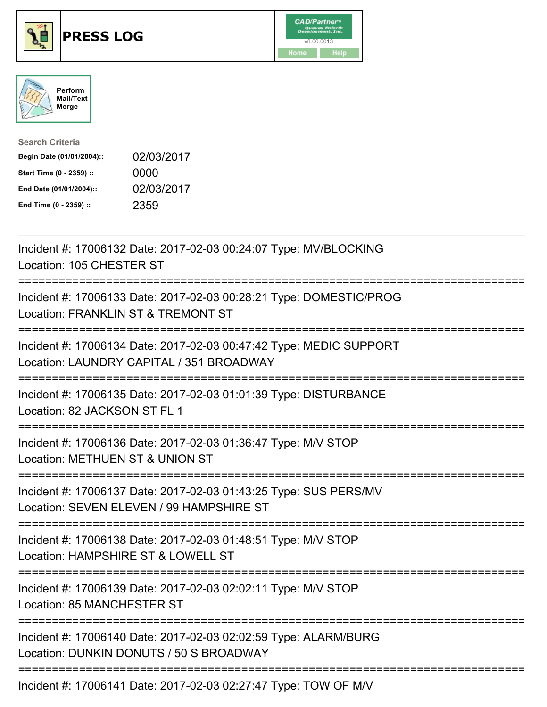

## **PRESS LOG** v8.00.0013





| <b>Search Criteria</b>    |            |
|---------------------------|------------|
| Begin Date (01/01/2004):: | 02/03/2017 |
| Start Time (0 - 2359) ::  | 0000       |
| End Date (01/01/2004)::   | 02/03/2017 |
| End Time (0 - 2359) ::    | 2359       |

Incident #: 17006132 Date: 2017-02-03 00:24:07 Type: MV/BLOCKING Location: 105 CHESTER ST =========================================================================== Incident #: 17006133 Date: 2017-02-03 00:28:21 Type: DOMESTIC/PROG Location: FRANKLIN ST & TREMONT ST =========================================================================== Incident #: 17006134 Date: 2017-02-03 00:47:42 Type: MEDIC SUPPORT Location: LAUNDRY CAPITAL / 351 BROADWAY =========================================================================== Incident #: 17006135 Date: 2017-02-03 01:01:39 Type: DISTURBANCE Location: 82 JACKSON ST FL 1 =========================================================================== Incident #: 17006136 Date: 2017-02-03 01:36:47 Type: M/V STOP Location: METHUEN ST & UNION ST =========================================================================== Incident #: 17006137 Date: 2017-02-03 01:43:25 Type: SUS PERS/MV Location: SEVEN ELEVEN / 99 HAMPSHIRE ST =========================================================================== Incident #: 17006138 Date: 2017-02-03 01:48:51 Type: M/V STOP Location: HAMPSHIRE ST & LOWELL ST =========================================================================== Incident #: 17006139 Date: 2017-02-03 02:02:11 Type: M/V STOP Location: 85 MANCHESTER ST =========================================================================== Incident #: 17006140 Date: 2017-02-03 02:02:59 Type: ALARM/BURG Location: DUNKIN DONUTS / 50 S BROADWAY =========================================================================== Incident #: 17006141 Date: 2017-02-03 02:27:47 Type: TOW OF M/V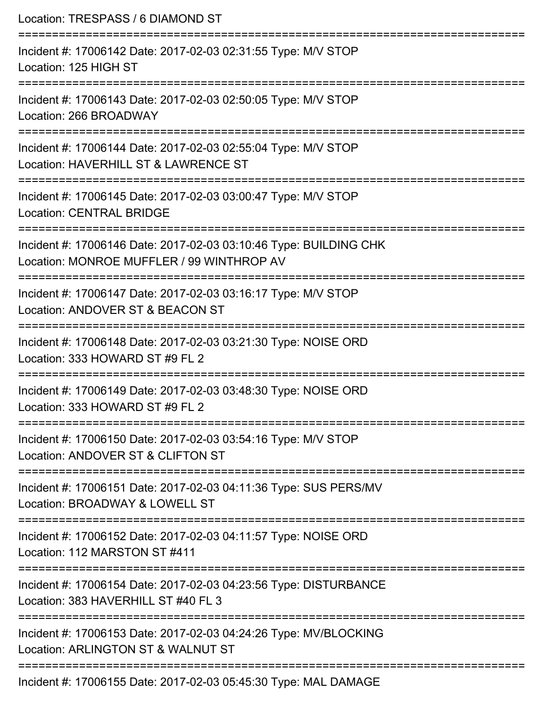| Location: TRESPASS / 6 DIAMOND ST                                                                                                |
|----------------------------------------------------------------------------------------------------------------------------------|
| Incident #: 17006142 Date: 2017-02-03 02:31:55 Type: M/V STOP<br>Location: 125 HIGH ST<br>.===================================   |
| Incident #: 17006143 Date: 2017-02-03 02:50:05 Type: M/V STOP<br>Location: 266 BROADWAY                                          |
| Incident #: 17006144 Date: 2017-02-03 02:55:04 Type: M/V STOP<br>Location: HAVERHILL ST & LAWRENCE ST<br>----------------------- |
| Incident #: 17006145 Date: 2017-02-03 03:00:47 Type: M/V STOP<br><b>Location: CENTRAL BRIDGE</b>                                 |
| Incident #: 17006146 Date: 2017-02-03 03:10:46 Type: BUILDING CHK<br>Location: MONROE MUFFLER / 99 WINTHROP AV                   |
| Incident #: 17006147 Date: 2017-02-03 03:16:17 Type: M/V STOP<br>Location: ANDOVER ST & BEACON ST                                |
| Incident #: 17006148 Date: 2017-02-03 03:21:30 Type: NOISE ORD<br>Location: 333 HOWARD ST #9 FL 2<br>=========================== |
| Incident #: 17006149 Date: 2017-02-03 03:48:30 Type: NOISE ORD<br>Location: 333 HOWARD ST #9 FL 2                                |
| Incident #: 17006150 Date: 2017-02-03 03:54:16 Type: M/V STOP<br>Location: ANDOVER ST & CLIFTON ST                               |
| Incident #: 17006151 Date: 2017-02-03 04:11:36 Type: SUS PERS/MV<br>Location: BROADWAY & LOWELL ST                               |
| Incident #: 17006152 Date: 2017-02-03 04:11:57 Type: NOISE ORD<br>Location: 112 MARSTON ST #411                                  |
| Incident #: 17006154 Date: 2017-02-03 04:23:56 Type: DISTURBANCE<br>Location: 383 HAVERHILL ST #40 FL 3                          |
| Incident #: 17006153 Date: 2017-02-03 04:24:26 Type: MV/BLOCKING<br>Location: ARLINGTON ST & WALNUT ST                           |
| Incident #: 17006155 Date: 2017-02-03 05:45:30 Type: MAL DAMAGE                                                                  |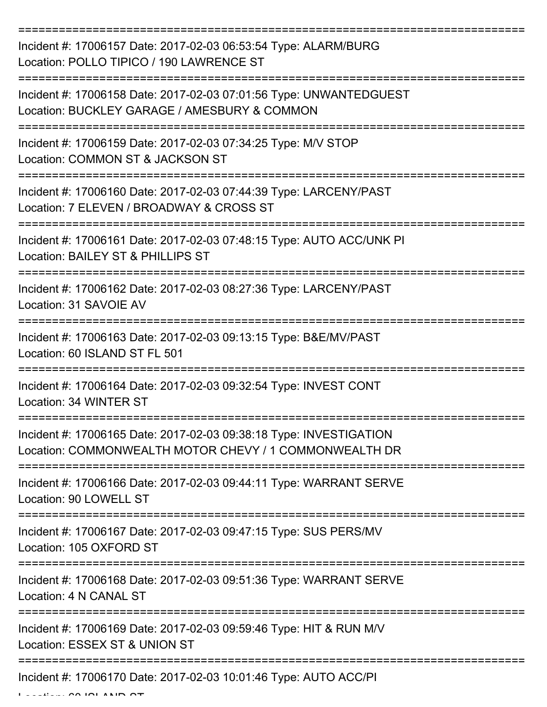=========================================================================== Incident #: 17006157 Date: 2017-02-03 06:53:54 Type: ALARM/BURG Location: POLLO TIPICO / 190 LAWRENCE ST =========================================================================== Incident #: 17006158 Date: 2017-02-03 07:01:56 Type: UNWANTEDGUEST Location: BUCKLEY GARAGE / AMESBURY & COMMON =========================================================================== Incident #: 17006159 Date: 2017-02-03 07:34:25 Type: M/V STOP Location: COMMON ST & JACKSON ST =========================================================================== Incident #: 17006160 Date: 2017-02-03 07:44:39 Type: LARCENY/PAST Location: 7 ELEVEN / BROADWAY & CROSS ST =========================================================================== Incident #: 17006161 Date: 2017-02-03 07:48:15 Type: AUTO ACC/UNK PI Location: BAILEY ST & PHILLIPS ST =========================================================================== Incident #: 17006162 Date: 2017-02-03 08:27:36 Type: LARCENY/PAST Location: 31 SAVOIE AV =========================================================================== Incident #: 17006163 Date: 2017-02-03 09:13:15 Type: B&E/MV/PAST Location: 60 ISLAND ST FL 501 =========================================================================== Incident #: 17006164 Date: 2017-02-03 09:32:54 Type: INVEST CONT Location: 34 WINTER ST =========================================================================== Incident #: 17006165 Date: 2017-02-03 09:38:18 Type: INVESTIGATION Location: COMMONWEALTH MOTOR CHEVY / 1 COMMONWEALTH DR =========================================================================== Incident #: 17006166 Date: 2017-02-03 09:44:11 Type: WARRANT SERVE Location: 90 LOWELL ST =========================================================================== Incident #: 17006167 Date: 2017-02-03 09:47:15 Type: SUS PERS/MV Location: 105 OXFORD ST =========================================================================== Incident #: 17006168 Date: 2017-02-03 09:51:36 Type: WARRANT SERVE Location: 4 N CANAL ST =========================================================================== Incident #: 17006169 Date: 2017-02-03 09:59:46 Type: HIT & RUN M/V Location: ESSEX ST & UNION ST =========================================================================== Incident #: 17006170 Date: 2017-02-03 10:01:46 Type: AUTO ACC/PI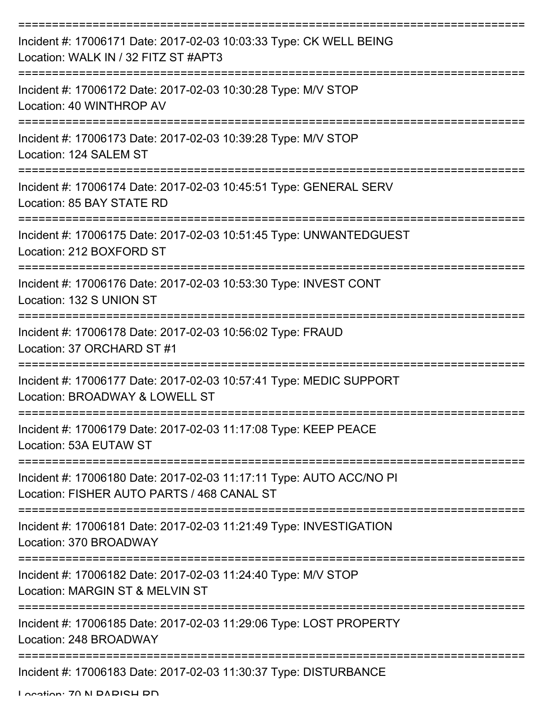| Incident #: 17006171 Date: 2017-02-03 10:03:33 Type: CK WELL BEING<br>Location: WALK IN / 32 FITZ ST #APT3        |
|-------------------------------------------------------------------------------------------------------------------|
| Incident #: 17006172 Date: 2017-02-03 10:30:28 Type: M/V STOP<br>Location: 40 WINTHROP AV                         |
| Incident #: 17006173 Date: 2017-02-03 10:39:28 Type: M/V STOP<br>Location: 124 SALEM ST                           |
| Incident #: 17006174 Date: 2017-02-03 10:45:51 Type: GENERAL SERV<br>Location: 85 BAY STATE RD                    |
| Incident #: 17006175 Date: 2017-02-03 10:51:45 Type: UNWANTEDGUEST<br>Location: 212 BOXFORD ST                    |
| Incident #: 17006176 Date: 2017-02-03 10:53:30 Type: INVEST CONT<br>Location: 132 S UNION ST                      |
| Incident #: 17006178 Date: 2017-02-03 10:56:02 Type: FRAUD<br>Location: 37 ORCHARD ST #1                          |
| Incident #: 17006177 Date: 2017-02-03 10:57:41 Type: MEDIC SUPPORT<br>Location: BROADWAY & LOWELL ST              |
| Incident #: 17006179 Date: 2017-02-03 11:17:08 Type: KEEP PEACE<br>Location: 53A EUTAW ST                         |
| Incident #: 17006180 Date: 2017-02-03 11:17:11 Type: AUTO ACC/NO PI<br>Location: FISHER AUTO PARTS / 468 CANAL ST |
| Incident #: 17006181 Date: 2017-02-03 11:21:49 Type: INVESTIGATION<br>Location: 370 BROADWAY                      |
| Incident #: 17006182 Date: 2017-02-03 11:24:40 Type: M/V STOP<br>Location: MARGIN ST & MELVIN ST                  |
| Incident #: 17006185 Date: 2017-02-03 11:29:06 Type: LOST PROPERTY<br>Location: 248 BROADWAY                      |
| Incident #: 17006183 Date: 2017-02-03 11:30:37 Type: DISTURBANCE                                                  |

Location: 70 N DADICH DD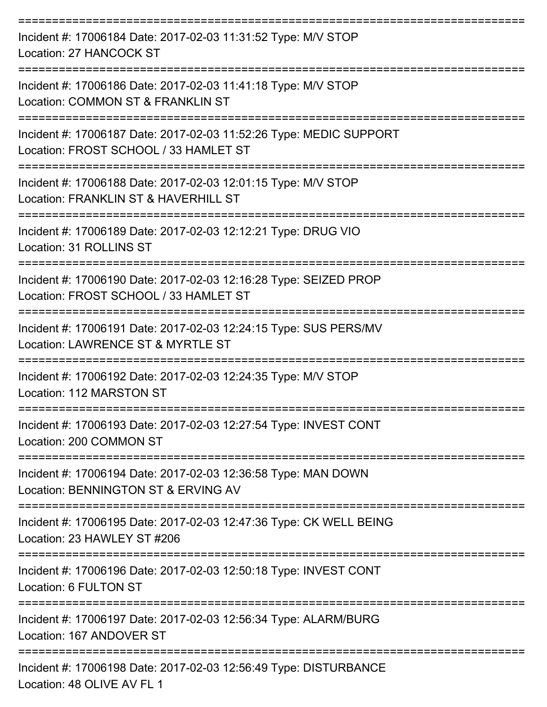| Incident #: 17006184 Date: 2017-02-03 11:31:52 Type: M/V STOP<br>Location: 27 HANCOCK ST                                  |
|---------------------------------------------------------------------------------------------------------------------------|
| Incident #: 17006186 Date: 2017-02-03 11:41:18 Type: M/V STOP<br>Location: COMMON ST & FRANKLIN ST                        |
| Incident #: 17006187 Date: 2017-02-03 11:52:26 Type: MEDIC SUPPORT<br>Location: FROST SCHOOL / 33 HAMLET ST               |
| Incident #: 17006188 Date: 2017-02-03 12:01:15 Type: M/V STOP<br>Location: FRANKLIN ST & HAVERHILL ST                     |
| Incident #: 17006189 Date: 2017-02-03 12:12:21 Type: DRUG VIO<br>Location: 31 ROLLINS ST                                  |
| Incident #: 17006190 Date: 2017-02-03 12:16:28 Type: SEIZED PROP<br>Location: FROST SCHOOL / 33 HAMLET ST                 |
| Incident #: 17006191 Date: 2017-02-03 12:24:15 Type: SUS PERS/MV<br>Location: LAWRENCE ST & MYRTLE ST                     |
| Incident #: 17006192 Date: 2017-02-03 12:24:35 Type: M/V STOP<br>Location: 112 MARSTON ST                                 |
| Incident #: 17006193 Date: 2017-02-03 12:27:54 Type: INVEST CONT<br>Location: 200 COMMON ST                               |
| -----------------<br>Incident #: 17006194 Date: 2017-02-03 12:36:58 Type: MAN DOWN<br>Location: BENNINGTON ST & ERVING AV |
| Incident #: 17006195 Date: 2017-02-03 12:47:36 Type: CK WELL BEING<br>Location: 23 HAWLEY ST #206                         |
| Incident #: 17006196 Date: 2017-02-03 12:50:18 Type: INVEST CONT<br>Location: 6 FULTON ST                                 |
| Incident #: 17006197 Date: 2017-02-03 12:56:34 Type: ALARM/BURG<br>Location: 167 ANDOVER ST                               |
| Incident #: 17006198 Date: 2017-02-03 12:56:49 Type: DISTURBANCE<br>Location: 48 OLIVE AV FL 1                            |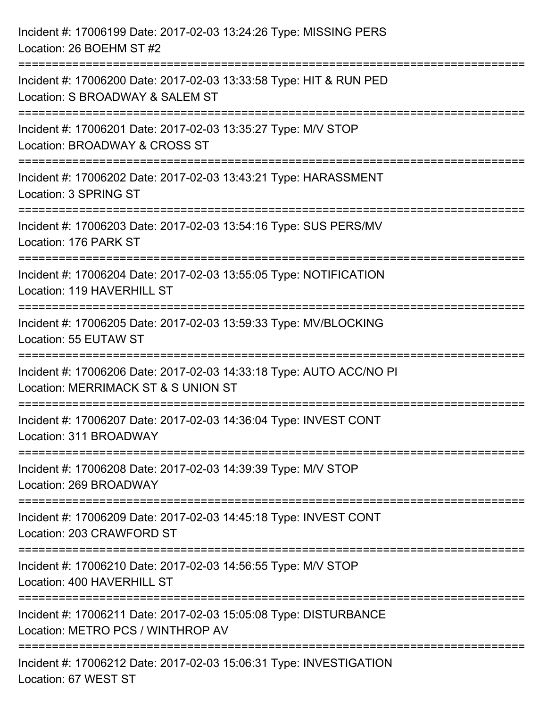| Incident #: 17006199 Date: 2017-02-03 13:24:26 Type: MISSING PERS<br>Location: 26 BOEHM ST #2                                              |
|--------------------------------------------------------------------------------------------------------------------------------------------|
| =================================<br>Incident #: 17006200 Date: 2017-02-03 13:33:58 Type: HIT & RUN PED<br>Location: S BROADWAY & SALEM ST |
| Incident #: 17006201 Date: 2017-02-03 13:35:27 Type: M/V STOP<br>Location: BROADWAY & CROSS ST<br>:================                        |
| Incident #: 17006202 Date: 2017-02-03 13:43:21 Type: HARASSMENT<br>Location: 3 SPRING ST<br>----------------------------------             |
| Incident #: 17006203 Date: 2017-02-03 13:54:16 Type: SUS PERS/MV<br>Location: 176 PARK ST                                                  |
| Incident #: 17006204 Date: 2017-02-03 13:55:05 Type: NOTIFICATION<br>Location: 119 HAVERHILL ST                                            |
| :==================================<br>Incident #: 17006205 Date: 2017-02-03 13:59:33 Type: MV/BLOCKING<br>Location: 55 EUTAW ST           |
| Incident #: 17006206 Date: 2017-02-03 14:33:18 Type: AUTO ACC/NO PI<br>Location: MERRIMACK ST & S UNION ST                                 |
| Incident #: 17006207 Date: 2017-02-03 14:36:04 Type: INVEST CONT<br>Location: 311 BROADWAY                                                 |
| Incident #: 17006208 Date: 2017-02-03 14:39:39 Type: M/V STOP<br>Location: 269 BROADWAY                                                    |
| Incident #: 17006209 Date: 2017-02-03 14:45:18 Type: INVEST CONT<br>Location: 203 CRAWFORD ST                                              |
| Incident #: 17006210 Date: 2017-02-03 14:56:55 Type: M/V STOP<br>Location: 400 HAVERHILL ST                                                |
| Incident #: 17006211 Date: 2017-02-03 15:05:08 Type: DISTURBANCE<br>Location: METRO PCS / WINTHROP AV                                      |
| Incident #: 17006212 Date: 2017-02-03 15:06:31 Type: INVESTIGATION<br>Location: 67 WEST ST                                                 |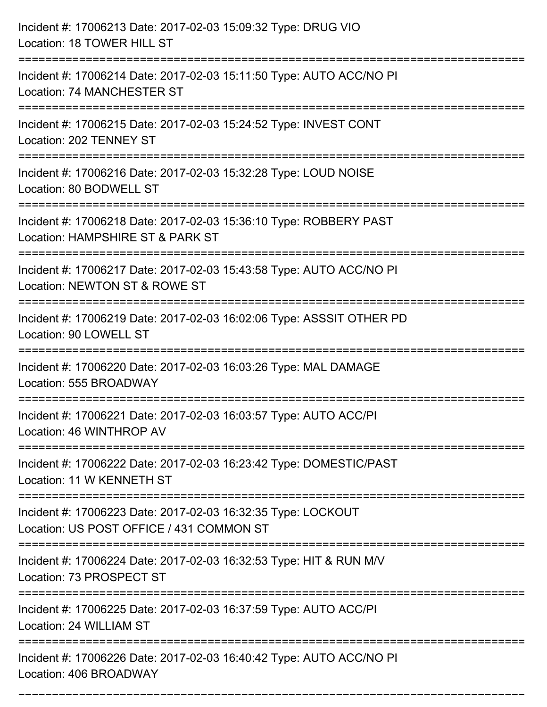| Incident #: 17006213 Date: 2017-02-03 15:09:32 Type: DRUG VIO<br>Location: 18 TOWER HILL ST              |
|----------------------------------------------------------------------------------------------------------|
| Incident #: 17006214 Date: 2017-02-03 15:11:50 Type: AUTO ACC/NO PI<br>Location: 74 MANCHESTER ST        |
| Incident #: 17006215 Date: 2017-02-03 15:24:52 Type: INVEST CONT<br>Location: 202 TENNEY ST              |
| Incident #: 17006216 Date: 2017-02-03 15:32:28 Type: LOUD NOISE<br>Location: 80 BODWELL ST               |
| Incident #: 17006218 Date: 2017-02-03 15:36:10 Type: ROBBERY PAST<br>Location: HAMPSHIRE ST & PARK ST    |
| Incident #: 17006217 Date: 2017-02-03 15:43:58 Type: AUTO ACC/NO PI<br>Location: NEWTON ST & ROWE ST     |
| Incident #: 17006219 Date: 2017-02-03 16:02:06 Type: ASSSIT OTHER PD<br>Location: 90 LOWELL ST           |
| Incident #: 17006220 Date: 2017-02-03 16:03:26 Type: MAL DAMAGE<br>Location: 555 BROADWAY                |
| Incident #: 17006221 Date: 2017-02-03 16:03:57 Type: AUTO ACC/PI<br>Location: 46 WINTHROP AV             |
| Incident #: 17006222 Date: 2017-02-03 16:23:42 Type: DOMESTIC/PAST<br>Location: 11 W KENNETH ST          |
| Incident #: 17006223 Date: 2017-02-03 16:32:35 Type: LOCKOUT<br>Location: US POST OFFICE / 431 COMMON ST |
| Incident #: 17006224 Date: 2017-02-03 16:32:53 Type: HIT & RUN M/V<br>Location: 73 PROSPECT ST           |
| Incident #: 17006225 Date: 2017-02-03 16:37:59 Type: AUTO ACC/PI<br>Location: 24 WILLIAM ST              |
| Incident #: 17006226 Date: 2017-02-03 16:40:42 Type: AUTO ACC/NO PI<br>Location: 406 BROADWAY            |

===========================================================================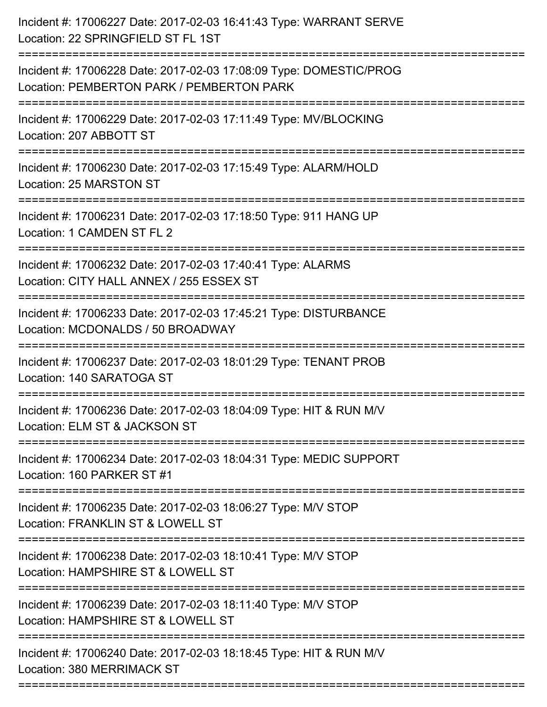| Incident #: 17006228 Date: 2017-02-03 17:08:09 Type: DOMESTIC/PROG<br>Location: PEMBERTON PARK / PEMBERTON PARK<br>Incident #: 17006229 Date: 2017-02-03 17:11:49 Type: MV/BLOCKING<br>Location: 207 ABBOTT ST |
|----------------------------------------------------------------------------------------------------------------------------------------------------------------------------------------------------------------|
|                                                                                                                                                                                                                |
|                                                                                                                                                                                                                |
| Incident #: 17006230 Date: 2017-02-03 17:15:49 Type: ALARM/HOLD<br>Location: 25 MARSTON ST                                                                                                                     |
| Incident #: 17006231 Date: 2017-02-03 17:18:50 Type: 911 HANG UP<br>Location: 1 CAMDEN ST FL 2                                                                                                                 |
| Incident #: 17006232 Date: 2017-02-03 17:40:41 Type: ALARMS<br>Location: CITY HALL ANNEX / 255 ESSEX ST                                                                                                        |
| Incident #: 17006233 Date: 2017-02-03 17:45:21 Type: DISTURBANCE<br>Location: MCDONALDS / 50 BROADWAY                                                                                                          |
| Incident #: 17006237 Date: 2017-02-03 18:01:29 Type: TENANT PROB<br>Location: 140 SARATOGA ST                                                                                                                  |
| Incident #: 17006236 Date: 2017-02-03 18:04:09 Type: HIT & RUN M/V<br>Location: ELM ST & JACKSON ST                                                                                                            |
| Incident #: 17006234 Date: 2017-02-03 18:04:31 Type: MEDIC SUPPORT<br>Location: 160 PARKER ST #1                                                                                                               |
| ==============================<br>Incident #: 17006235 Date: 2017-02-03 18:06:27 Type: M/V STOP<br>Location: FRANKLIN ST & LOWELL ST                                                                           |
| Incident #: 17006238 Date: 2017-02-03 18:10:41 Type: M/V STOP<br>Location: HAMPSHIRE ST & LOWELL ST<br>;==============================                                                                         |
| Incident #: 17006239 Date: 2017-02-03 18:11:40 Type: M/V STOP<br>Location: HAMPSHIRE ST & LOWELL ST                                                                                                            |
| Incident #: 17006240 Date: 2017-02-03 18:18:45 Type: HIT & RUN M/V<br>Location: 380 MERRIMACK ST                                                                                                               |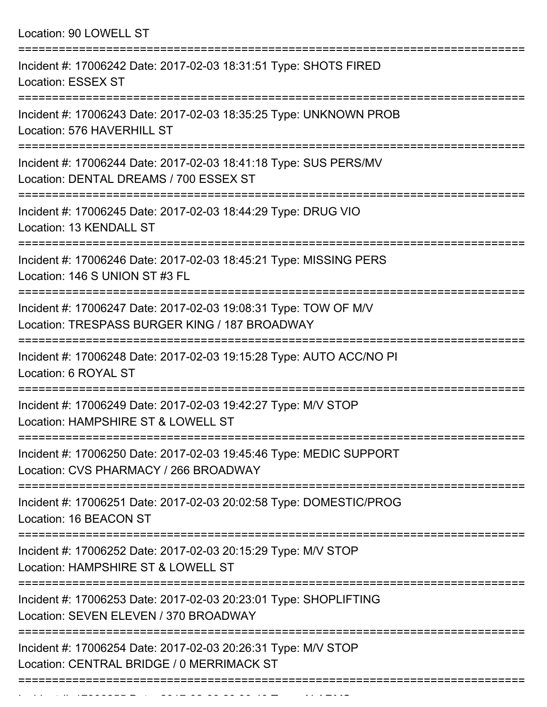Location: 90 LOWELL ST =========================================================================== Incident #: 17006242 Date: 2017-02-03 18:31:51 Type: SHOTS FIRED Location: ESSEX ST =========================================================================== Incident #: 17006243 Date: 2017-02-03 18:35:25 Type: UNKNOWN PROB Location: 576 HAVERHILL ST =========================================================================== Incident #: 17006244 Date: 2017-02-03 18:41:18 Type: SUS PERS/MV Location: DENTAL DREAMS / 700 ESSEX ST =========================================================================== Incident #: 17006245 Date: 2017-02-03 18:44:29 Type: DRUG VIO Location: 13 KENDALL ST =========================================================================== Incident #: 17006246 Date: 2017-02-03 18:45:21 Type: MISSING PERS Location: 146 S UNION ST #3 FL =========================================================================== Incident #: 17006247 Date: 2017-02-03 19:08:31 Type: TOW OF M/V Location: TRESPASS BURGER KING / 187 BROADWAY =========================================================================== Incident #: 17006248 Date: 2017-02-03 19:15:28 Type: AUTO ACC/NO PI Location: 6 ROYAL ST =========================================================================== Incident #: 17006249 Date: 2017-02-03 19:42:27 Type: M/V STOP Location: HAMPSHIRE ST & LOWELL ST =========================================================================== Incident #: 17006250 Date: 2017-02-03 19:45:46 Type: MEDIC SUPPORT Location: CVS PHARMACY / 266 BROADWAY =========================================================================== Incident #: 17006251 Date: 2017-02-03 20:02:58 Type: DOMESTIC/PROG Location: 16 BEACON ST =========================================================================== Incident #: 17006252 Date: 2017-02-03 20:15:29 Type: M/V STOP Location: HAMPSHIRF ST & LOWELL ST =========================================================================== Incident #: 17006253 Date: 2017-02-03 20:23:01 Type: SHOPLIFTING Location: SEVEN ELEVEN / 370 BROADWAY =========================================================================== Incident #: 17006254 Date: 2017-02-03 20:26:31 Type: M/V STOP Location: CENTRAL BRIDGE / 0 MERRIMACK ST ===========================================================================

Incident #: 17006255 Date: 2017 02 03 2017 02 03 20:30:40 Type: 40<br>.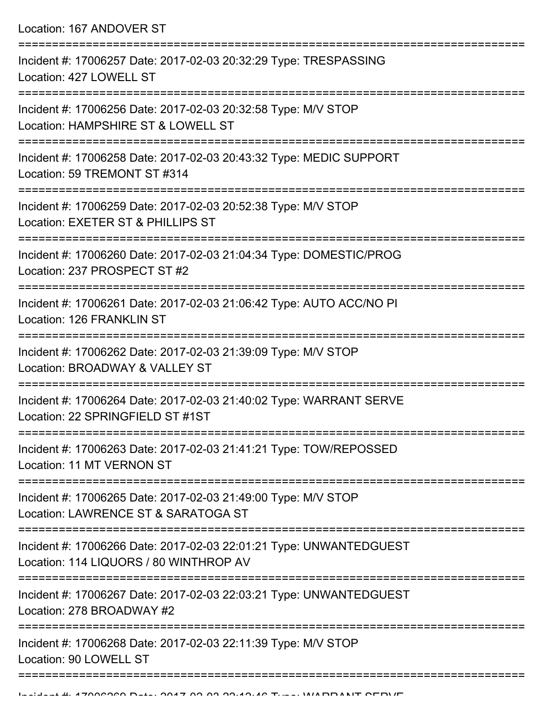Location: 167 ANDOVER ST

| Incident #: 17006257 Date: 2017-02-03 20:32:29 Type: TRESPASSING<br>Location: 427 LOWELL ST                  |
|--------------------------------------------------------------------------------------------------------------|
| Incident #: 17006256 Date: 2017-02-03 20:32:58 Type: M/V STOP<br>Location: HAMPSHIRE ST & LOWELL ST          |
| Incident #: 17006258 Date: 2017-02-03 20:43:32 Type: MEDIC SUPPORT<br>Location: 59 TREMONT ST #314           |
| Incident #: 17006259 Date: 2017-02-03 20:52:38 Type: M/V STOP<br>Location: EXETER ST & PHILLIPS ST           |
| Incident #: 17006260 Date: 2017-02-03 21:04:34 Type: DOMESTIC/PROG<br>Location: 237 PROSPECT ST #2           |
| Incident #: 17006261 Date: 2017-02-03 21:06:42 Type: AUTO ACC/NO PI<br>Location: 126 FRANKLIN ST             |
| Incident #: 17006262 Date: 2017-02-03 21:39:09 Type: M/V STOP<br>Location: BROADWAY & VALLEY ST              |
| Incident #: 17006264 Date: 2017-02-03 21:40:02 Type: WARRANT SERVE<br>Location: 22 SPRINGFIELD ST #1ST       |
| Incident #: 17006263 Date: 2017-02-03 21:41:21 Type: TOW/REPOSSED<br>Location: 11 MT VERNON ST               |
| Incident #: 17006265 Date: 2017-02-03 21:49:00 Type: M/V STOP<br>Location: LAWRENCE ST & SARATOGA ST         |
| Incident #: 17006266 Date: 2017-02-03 22:01:21 Type: UNWANTEDGUEST<br>Location: 114 LIQUORS / 80 WINTHROP AV |
| Incident #: 17006267 Date: 2017-02-03 22:03:21 Type: UNWANTEDGUEST<br>Location: 278 BROADWAY #2              |
| Incident #: 17006268 Date: 2017-02-03 22:11:39 Type: M/V STOP<br>Location: 90 LOWELL ST                      |
|                                                                                                              |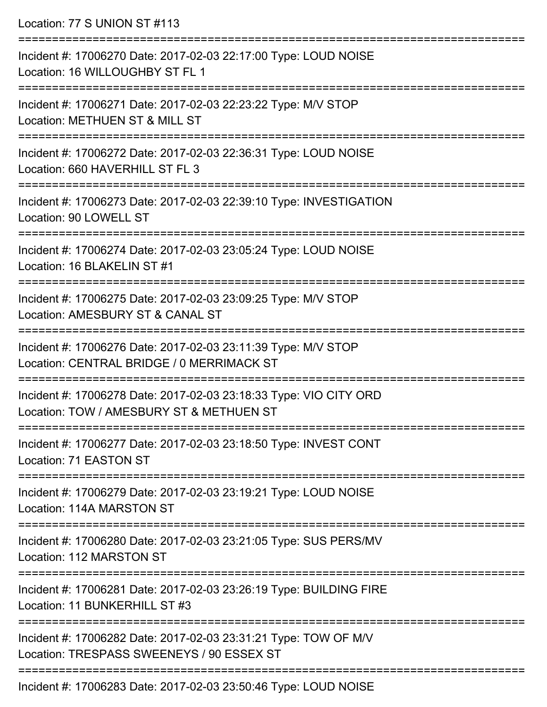Location: 77 S UNION ST #113 =========================================================================== Incident #: 17006270 Date: 2017-02-03 22:17:00 Type: LOUD NOISE Location: 16 WILLOUGHBY ST FL 1 =========================================================================== Incident #: 17006271 Date: 2017-02-03 22:23:22 Type: M/V STOP Location: METHUEN ST & MILL ST =========================================================================== Incident #: 17006272 Date: 2017-02-03 22:36:31 Type: LOUD NOISE Location: 660 HAVERHILL ST FL 3 =========================================================================== Incident #: 17006273 Date: 2017-02-03 22:39:10 Type: INVESTIGATION Location: 90 LOWELL ST =========================================================================== Incident #: 17006274 Date: 2017-02-03 23:05:24 Type: LOUD NOISE Location: 16 BLAKELIN ST #1 =========================================================================== Incident #: 17006275 Date: 2017-02-03 23:09:25 Type: M/V STOP Location: AMESBURY ST & CANAL ST =========================================================================== Incident #: 17006276 Date: 2017-02-03 23:11:39 Type: M/V STOP Location: CENTRAL BRIDGE / 0 MERRIMACK ST =========================================================================== Incident #: 17006278 Date: 2017-02-03 23:18:33 Type: VIO CITY ORD Location: TOW / AMESBURY ST & METHUEN ST =========================================================================== Incident #: 17006277 Date: 2017-02-03 23:18:50 Type: INVEST CONT Location: 71 EASTON ST =========================================================================== Incident #: 17006279 Date: 2017-02-03 23:19:21 Type: LOUD NOISE Location: 114A MARSTON ST =========================================================================== Incident #: 17006280 Date: 2017-02-03 23:21:05 Type: SUS PERS/MV Location: 112 MARSTON ST =========================================================================== Incident #: 17006281 Date: 2017-02-03 23:26:19 Type: BUILDING FIRE Location: 11 BUNKERHILL ST #3 =========================================================================== Incident #: 17006282 Date: 2017-02-03 23:31:21 Type: TOW OF M/V Location: TRESPASS SWEENEYS / 90 ESSEX ST ===========================================================================

Incident #: 17006283 Date: 2017-02-03 23:50:46 Type: LOUD NOISE